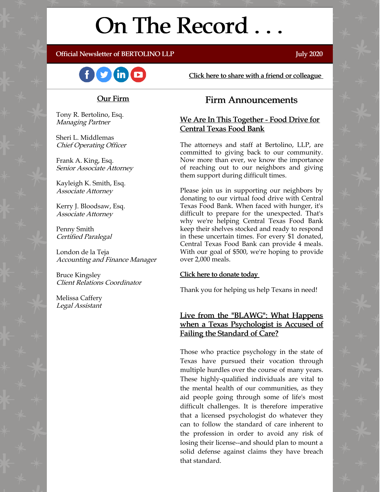# On The Record . . .

#### Official Newsletter of BERTOLINO LLP **Server and Server Server All Structure** July 2020



[Click here to share with a friend or colleague](https://visitor.r20.constantcontact.com/manage/optin?v=001xvcZBIZGArRYZxP_ENhTFsnPqgcrAHF_8FAGh0C6OoU_TYzgqPeo9kiI5F5Vb-xdZP7jClYZWX2ttQp6Q7JygJ1sq0DH9MDHJwjzNoREDc4=)

#### Our Firm

Tony R. Bertolino, Esq. Managing Partner

Sheri L. Middlemas Chief Operating Officer

Frank A. King, Esq. Senior Associate Attorney

Kayleigh K. Smith, Esq. Associate Attorney

Kerry J. Bloodsaw, Esq. Associate Attorney

Penny Smith Certified Paralegal

London de la Teja Accounting and Finance Manager

Bruce Kingsley Client Relations Coordinator

Melissa Caffery Legal Assistant

## Firm Announcements

#### We Are In This Together - Food Drive for Central Texas Food Bank

The attorneys and staff at Bertolino, LLP, are committed to giving back to our community. Now more than ever, we know the importance of reaching out to our neighbors and giving them support during difficult times.

Please join us in supporting our neighbors by donating to our virtual food drive with Central Texas Food Bank. When faced with hunger, it's difficult to prepare for the unexpected. That's why we're helping Central Texas Food Bank keep their shelves stocked and ready to respond in these uncertain times. For every \$1 donated, Central Texas Food Bank can provide 4 meals. With our goal of \$500, we're hoping to provide over 2,000 meals.

#### [Click here to donate today](https://help-prepare-families.everydayhero.com/us/give-back-with-bertolino-llp)

Thank you for helping us help Texans in need!

#### Live from the "BLAWG": What Happens when a Texas Psychologist is Accused of Failing the Standard of Care?

Those who practice psychology in the state of Texas have pursued their vocation through multiple hurdles over the course of many years. These highly-qualified individuals are vital to the mental health of our communities, as they aid people going through some of life's most difficult challenges. It is therefore imperative that a licensed psychologist do whatever they can to follow the standard of care inherent to the profession in order to avoid any risk of losing their license--and should plan to mount a solid defense against claims they have breach that standard.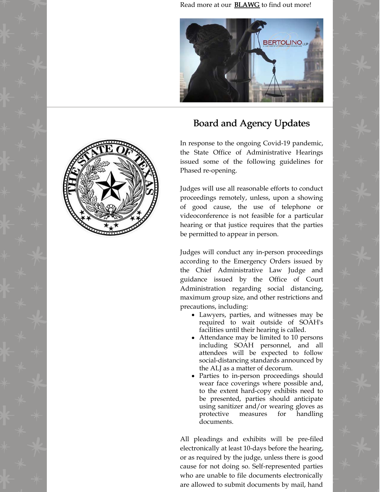Read more at our **[BLAWG](https://www.belolaw.com/posts/how-sunset-works-in-texas/)** to find out more!



## Board and Agency Updates

In response to the ongoing Covid-19 pandemic, the State Office of Administrative Hearings issued some of the following guidelines for Phased re-opening.

Judges will use all reasonable efforts to conduct proceedings remotely, unless, upon a showing of good cause, the use of telephone or videoconference is not feasible for a particular hearing or that justice requires that the parties be permitted to appear in person.

Judges will conduct any in-person proceedings according to the Emergency Orders issued by the Chief Administrative Law Judge and guidance issued by the Office of Court Administration regarding social distancing, maximum group size, and other restrictions and precautions, including:

- Lawyers, parties, and witnesses may be required to wait outside of SOAH's facilities until their hearing is called.
- Attendance may be limited to 10 persons including SOAH personnel, and all attendees will be expected to follow social-distancing standards announced by the ALJ as a matter of decorum.
- Parties to in-person proceedings should wear face coverings where possible and, to the extent hard-copy exhibits need to be presented, parties should anticipate using sanitizer and/or wearing gloves as protective measures for handling documents.

All pleadings and exhibits will be pre-filed electronically at least 10-days before the hearing, or as required by the judge, unless there is good cause for not doing so. Self-represented parties who are unable to file documents electronically are allowed to submit documents by mail, hand